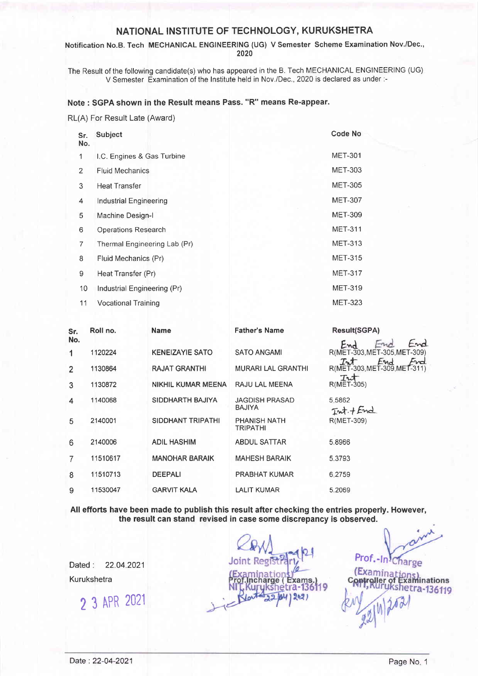## NATIONAL INSTITUTE OF TECHNOLOGY, KURUKSHETRA

Notification No.B. Tech MECHANICAL ENGINEERING (UG) V Semester Scheme Examination Nov./Dec., 2020

The Result of the following candidate(s) who has appeared in the B. Tech MECHANICAL ENGINEERING (UG) V Semester Examination of the lnstitute held in Nov./Dec., 2020 is declared as under :-

### Note : SGPA shown in the Result means Pass. "R" means Re-appear.

RL(A) For Result Late (Award)

| Sr.<br>No. | Subject                      | Code No        |
|------------|------------------------------|----------------|
| 1          | I.C. Engines & Gas Turbine   | <b>MET-301</b> |
| 2          | <b>Fluid Mechanics</b>       | <b>MET-303</b> |
| 3          | <b>Heat Transfer</b>         | <b>MET-305</b> |
| 4          | Industrial Engineering       | <b>MET-307</b> |
| 5          | Machine Design-I             | <b>MET-309</b> |
| 6          | <b>Operations Research</b>   | <b>MET-311</b> |
| 7          | Thermal Engineering Lab (Pr) | <b>MET-313</b> |
| 8          | Fluid Mechanics (Pr)         | <b>MET-315</b> |
| 9          | Heat Transfer (Pr)           | <b>MET-317</b> |
| 10         | Industrial Engineering (Pr)  | <b>MET-319</b> |
| 11         | <b>Vocational Training</b>   | <b>MET-323</b> |

| Sr. | Roll no. | <b>Name</b>               | <b>Father's Name</b>                   | <b>Result(SGPA)</b>                                                     |
|-----|----------|---------------------------|----------------------------------------|-------------------------------------------------------------------------|
| No. |          |                           |                                        | End<br>End<br>$-mc$                                                     |
|     | 1120224  | <b>KENEIZAYIE SATO</b>    | <b>SATO ANGAMI</b>                     | R(MET-303, MET-305, MET-309)                                            |
| 2   | 1130864  | <b>RAJAT GRANTHI</b>      | <b>MURARI LAL GRANTHI</b>              | End<br>$T_{\mathcal{N}}$<br>Fred<br>R(MET-303, MET-309, MET-311)<br>Int |
| 3   | 1130872  | <b>NIKHIL KUMAR MEENA</b> | RAJU LAL MEENA                         | $R(MET-305)$                                                            |
| 4   | 1140068  | SIDDHARTH BAJIYA          | <b>JAGDISH PRASAD</b><br><b>BAJIYA</b> | 5.5862<br>$Int + End$                                                   |
| 5   | 2140001  | SIDDHANT TRIPATHI         | <b>PHANISH NATH</b><br><b>TRIPATHI</b> | R(MET-309)                                                              |
| 6   | 2140006  | <b>ADIL HASHIM</b>        | <b>ABDUL SATTAR</b>                    | 5.8966                                                                  |
|     | 11510617 | <b>MANOHAR BARAIK</b>     | <b>MAHESH BARAIK</b>                   | 5.3793                                                                  |
| 8   | 11510713 | <b>DEEPALI</b>            | <b>PRABHAT KUMAR</b>                   | 6.2759                                                                  |
| 9   | 11530047 | <b>GARVIT KALA</b>        | <b>LALIT KUMAR</b>                     | 5.2069                                                                  |

All efforts have been made to publish this result after checking the entries properly. However, the result can stand revised in case some discrepancy is observed.

Dated : 22.04.2021 Kurukshetra

2 3 APR <sup>2021</sup>

Exams a-

Prof.-ln

large

Examinations

Ta-136119

(Examina

roller o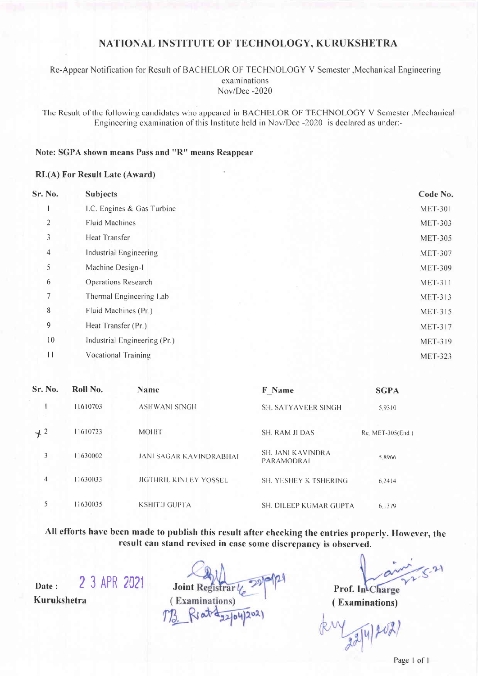# NATIONAL INSTITUTE OF TECHNOLOGY, KURUKSHETRA

Re-Appear Notification for Result of BACHELOR OF TECHNOLOGY V Semester , Mechanical Engineering examinations Nov/Dec -2020

The Result of the following candidates who appeared in BACHELOR OF TECHNOLOGY V Semester , Mechanical Engineering examination of this Institute held in Nov/Dec -2020 is declared as under:-

### Note: SGPA shown means Pass and "R" means Reappear

#### **RL(A)** For Result Late (Award)

| Sr. No.        | <b>Subjects</b>              | Code No.       |
|----------------|------------------------------|----------------|
|                | I.C. Engines & Gas Turbine   | <b>MET-301</b> |
| $\mathbf{2}$   | <b>Fluid Machines</b>        | <b>MET-303</b> |
| 3              | Heat Transfer                | <b>MET-305</b> |
| $\overline{4}$ | Industrial Engineering       | <b>MET-307</b> |
| 5              | Machine Design-1             | <b>MET-309</b> |
| 6              | Operations Research          | <b>MET-311</b> |
| 7              | Thermal Engineering Lab      | <b>MET-313</b> |
| 8              | Fluid Machines (Pr.)         | <b>MET-315</b> |
| 9              | Heat Transfer (Pr.)          | <b>MET-317</b> |
| 10             | Industrial Engineering (Pr.) | <b>MET-319</b> |
| $\mathbf{1}$   | <b>Vocational Training</b>   | <b>MET-323</b> |

| Sr. No.          | Roll No. | <b>Name</b>                    | <b>F</b> Name                                 | <b>SGPA</b>      |
|------------------|----------|--------------------------------|-----------------------------------------------|------------------|
|                  | 11610703 | ASHWANI SINGH                  | <b>SH. SATYAVEER SINGH</b>                    | 5.9310           |
| $+$ 2            | 11610723 | <b>MOHIT</b>                   | <b>SH. RAM JI DAS</b>                         | Re. MET-305(End) |
| 3                | 11630002 | <b>JANI SAGAR KAVINDRABHAI</b> | <b>SH. JANI KAVINDRA</b><br><b>PARAMODRAL</b> | 58966            |
| $\boldsymbol{4}$ | 11630033 | <b>JIGTHRIL KINLEY YOSSEL</b>  | <b>SH. YESHEY K TSHERING</b>                  | 6.2414           |
| 5                | 11630035 | <b>KSHITIJ GUPTA</b>           | SH. DILEEP KUMAR GUPTA                        | 6.1379           |

All efforts have been made to publish this result after checking the entries properly. However, the result can stand revised in case some discrepancy is observed.

2 3 APR 2021 Date: Kurukshetra

**Joint Registrar** (Examinations)

 $-21$ Prof. In Charge

(Examinations)

 $\frac{1}{22|4|200}$